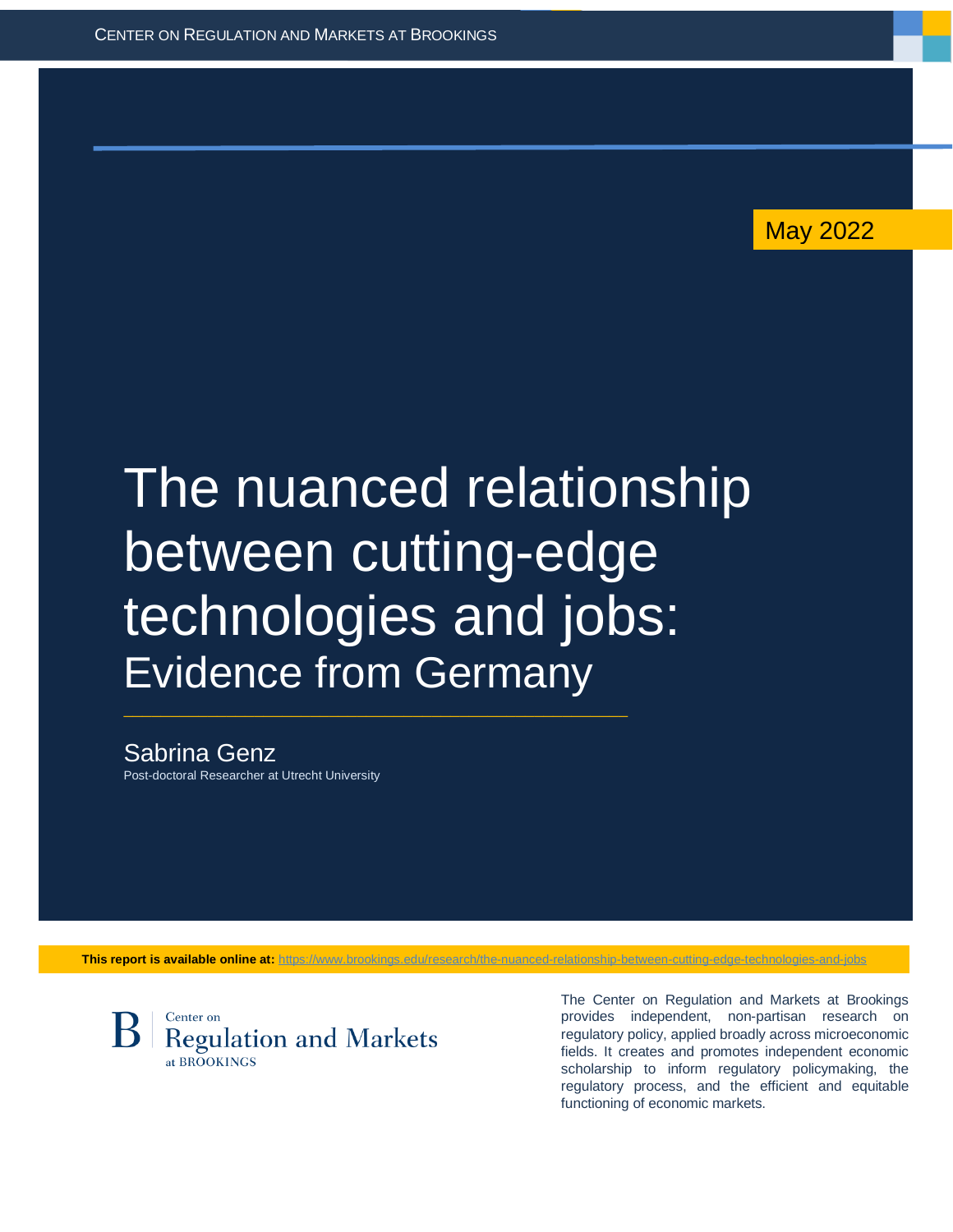May 2022

# The nuanced relationship between cutting-edge technologies and jobs: Evidence from Germany

 $\_$  , and the set of the set of the set of the set of the set of the set of the set of the set of the set of the set of the set of the set of the set of the set of the set of the set of the set of the set of the set of th

Sabrina Genz Post-doctoral Researcher at Utrecht University

This report is available online at: https://www.brookings.edu/research/the-nuanced-rela



The Center on Regulation and Markets at Brookings provides independent, non-partisan research on regulatory policy, applied broadly across microeconomic fields. It creates and promotes independent economic scholarship to inform regulatory policymaking, the regulatory process, and the efficient and equitable functioning of economic markets.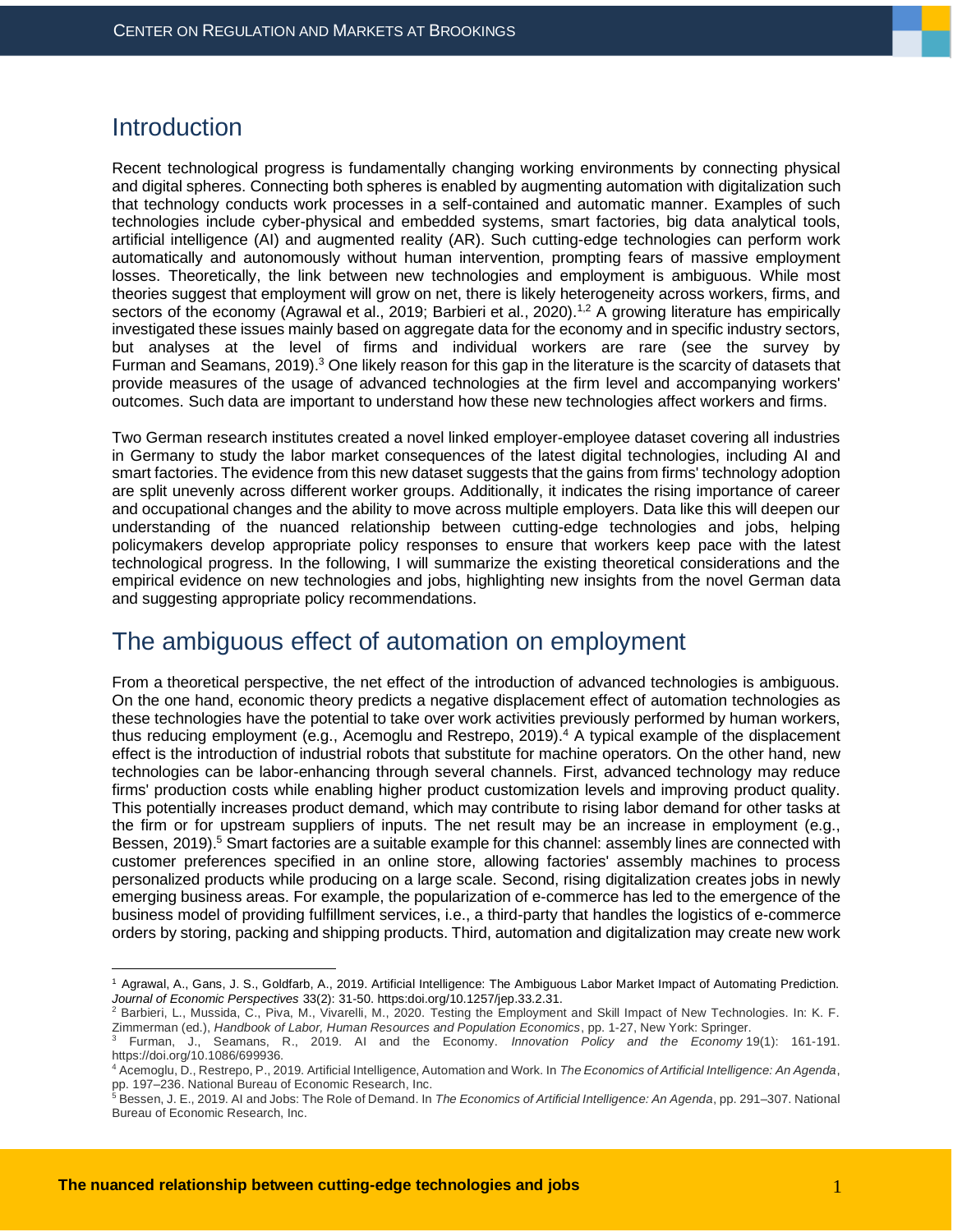## **Introduction**

Recent technological progress is fundamentally changing working environments by connecting physical and digital spheres. Connecting both spheres is enabled by augmenting automation with digitalization such that technology conducts work processes in a self-contained and automatic manner. Examples of such technologies include cyber-physical and embedded systems, smart factories, big data analytical tools, artificial intelligence (AI) and augmented reality (AR). Such cutting-edge technologies can perform work automatically and autonomously without human intervention, prompting fears of massive employment losses. Theoretically, the link between new technologies and employment is ambiguous. While most theories suggest that employment will grow on net, there is likely heterogeneity across workers, firms, and sectors of the economy [\(Agrawal](https://doi.org/10.1257/jep.33.2.31) et al., 2019; Barbieri et al., 2020).<sup>1,2</sup> A growing literature has empirically investigated these issues mainly based on aggregate data for the economy and in specific industry sectors, but analyses at the level of firms and individual workers are rare (see the survey by Furman and [Seamans,](https://doi.org/10.1086/699936) 2019).<sup>3</sup> One likely reason for this gap in the literature is the scarcity of datasets that provide measures of the usage of advanced technologies at the firm level and accompanying workers' outcomes. Such data are important to understand how these new technologies affect workers and firms.

Two German research institutes created a novel linked employer-employee dataset covering all industries in Germany to study the labor market consequences of the latest digital technologies, including AI and smart factories. The evidence from this new dataset suggests that the gains from firms' technology adoption are split unevenly across different worker groups. Additionally, it indicates the rising importance of career and occupational changes and the ability to move across multiple employers. Data like this will deepen our understanding of the nuanced relationship between cutting-edge technologies and jobs, helping policymakers develop appropriate policy responses to ensure that workers keep pace with the latest technological progress. In the following, I will summarize the existing theoretical considerations and the empirical evidence on new technologies and jobs, highlighting new insights from the novel German data and suggesting appropriate policy recommendations.

### The ambiguous effect of automation on employment

From a theoretical perspective, the net effect of the introduction of advanced technologies is ambiguous. On the one hand, economic theory predicts a negative displacement effect of automation technologies as these technologies have the potential to take over work activities previously performed by human workers, thus reducing employment (e.g., Acemoglu and Restrepo, 2019).<sup>4</sup> A typical example of the displacement effect is the introduction of industrial robots that substitute for machine operators. On the other hand, new technologies can be labor-enhancing through several channels. First, advanced technology may reduce firms' production costs while enabling higher product customization levels and improving product quality. This potentially increases product demand, which may contribute to rising labor demand for other tasks at the firm or for upstream suppliers of inputs. The net result may be an increase in employment (e.g., Bessen, 2019).<sup>5</sup> Smart factories are a suitable example for this channel: assembly lines are connected with customer preferences specified in an online store, allowing factories' assembly machines to process personalized products while producing on a large scale. Second, rising digitalization creates jobs in newly emerging business areas. For example, the popularization of e-commerce has led to the emergence of the business model of providing fulfillment services, i.e., a third-party that handles the logistics of e-commerce orders by storing, packing and shipping products. Third, automation and digitalization may create new work

<sup>1</sup> Agrawal, A., Gans, J. S., Goldfarb, A., 2019. Artificial Intelligence: The Ambiguous Labor Market Impact of Automating Prediction. *Journal of Economic Perspectives* 33(2): 31-50. https:doi.org/10.1257/jep.33.2.31.

<sup>2</sup> Barbieri, L., Mussida, C., Piva, M., Vivarelli, M., 2020. Testing the Employment and Skill Impact of New Technologies. In: K. F. Zimmerman (ed.), *Handbook of Labor, Human Resources and Population Economics*, pp. 1-27, New York: Springer.<br><sup>3</sup> Furman 1. Seemans P. 2010, All and the F.

<sup>3</sup> Furman, J., Seamans, R., 2019. AI and the Economy. *Innovation Policy and the Economy* 19(1): 161-191. https://doi.org/10.1086/699936.

<sup>4</sup> Acemoglu, D., Restrepo, P., 2019. Artificial Intelligence, Automation and Work. In *The Economics of Artificial Intelligence: An Agenda*, pp. 197–236. National Bureau of Economic Research, Inc.

<sup>5</sup> Bessen, J. E., 2019. AI and Jobs: The Role of Demand. In *The Economics of Artificial Intelligence: An Agenda*, pp. 291–307. National Bureau of Economic Research, Inc.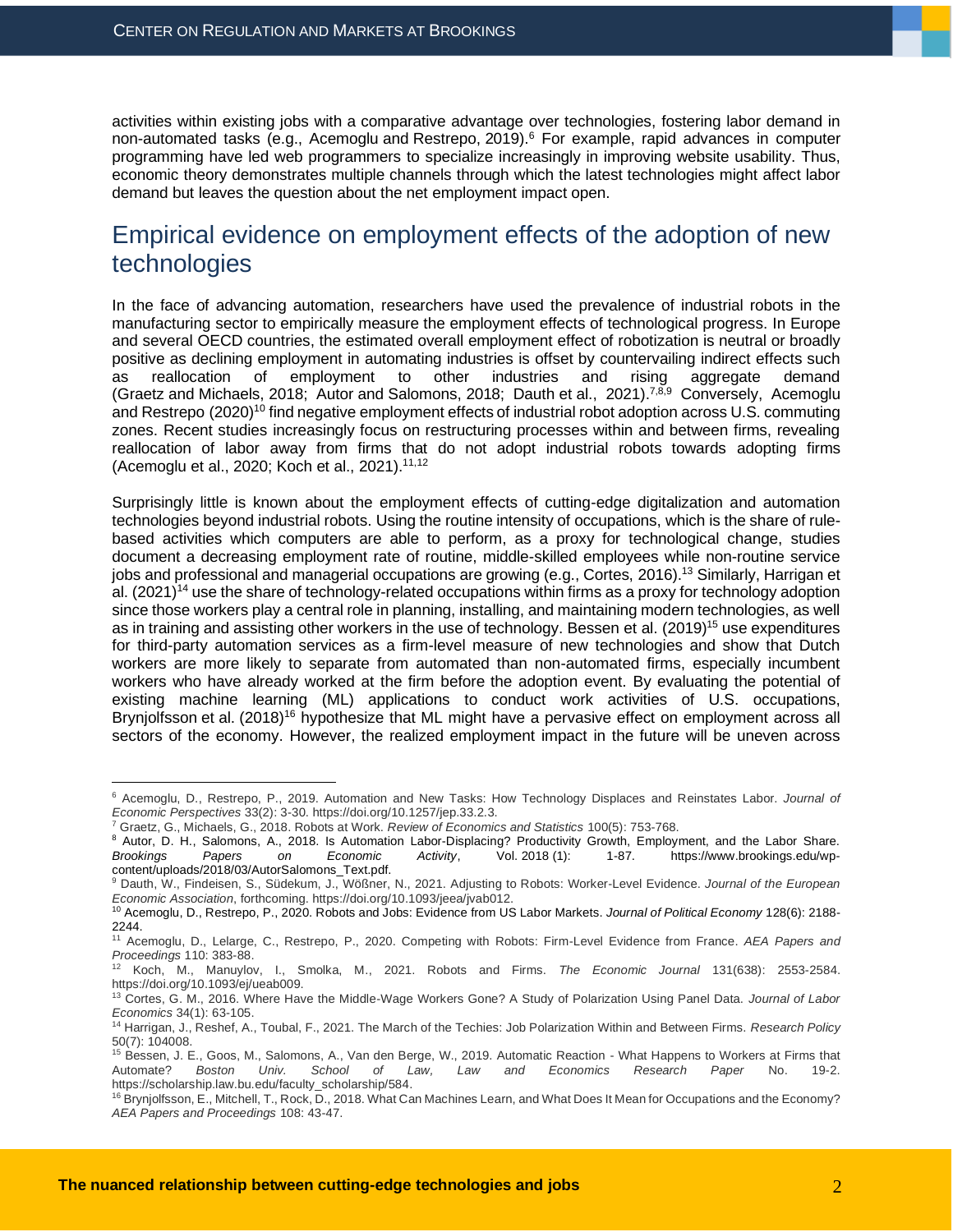activities within existing jobs with a comparative advantage over technologies, fostering labor demand in non-automated tasks (e.g., [Acemoglu](https://doi.org/10.1257/jep.33.2.3) and Restrepo, 2019).<sup>6</sup> For example, rapid advances in computer programming have led web programmers to specialize increasingly in improving website usability. Thus, economic theory demonstrates multiple channels through which the latest technologies might affect labor demand but leaves the question about the net employment impact open.

## Empirical evidence on employment effects of the adoption of new technologies

In the face of advancing automation, researchers have used the prevalence of industrial robots in the manufacturing sector to empirically measure the employment effects of technological progress. In Europe and several OECD countries, the estimated overall employment effect of robotization is neutral or broadly positive as declining employment in automating industries is offset by countervailing indirect effects such as reallocation of employment to other industries and rising aggregate demand (Graetz and Michaels, 2018; Autor and [Salomons,](https://www.brookings.edu/wp-content/uploads/2018/03/AutorSalomons_Text.pdf) 2018; Dauth et [al., 2021\)](https://doi.org/10.1093/jeea/jvab012).<sup>7,8,9</sup> Conversely, Acemoglu and Restrepo (2020)<sup>10</sup> find negative employment effects of industrial robot adoption across U.S. commuting zones. Recent studies increasingly focus on restructuring processes within and between firms, revealing reallocation of labor away from firms that do not adopt industrial robots towards adopting firms (Acemoglu et al., 2020; [Koch](https://doi.org/10.1093/ej/ueab009) et al., 2021).11,12

Surprisingly little is known about the employment effects of cutting-edge digitalization and automation technologies beyond industrial robots. Using the routine intensity of occupations, which is the share of rulebased activities which computers are able to perform, as a proxy for technological change, studies document a decreasing employment rate of routine, middle-skilled employees while non-routine service jobs and professional and managerial occupations are growing (e.g., Cortes, 2016).<sup>13</sup> Similarly, Harrigan et al. (2021)<sup>14</sup> use the share of technology-related occupations within firms as a proxy for technology adoption since those workers play a central role in planning, installing, and maintaining modern technologies, as well as in training and assisting other workers in the use of technology. [Bessen](https://scholarship.law.bu.edu/faculty_scholarship/584) et al. (2019)<sup>15</sup> use expenditures for third-party automation services as a firm-level measure of new technologies and show that Dutch workers are more likely to separate from automated than non-automated firms, especially incumbent workers who have already worked at the firm before the adoption event. By evaluating the potential of existing machine learning (ML) applications to conduct work activities of U.S. occupations, Brynjolfsson et al. (2018)<sup>16</sup> hypothesize that ML might have a pervasive effect on employment across all sectors of the economy. However, the realized employment impact in the future will be uneven across

<sup>6</sup> Acemoglu, D., Restrepo, P., 2019. Automation and New Tasks: How Technology Displaces and Reinstates Labor. *Journal of Economic Perspectives* 33(2): 3-30. https://doi.org/10.1257/jep.33.2.3.

<sup>7</sup> Graetz, G., Michaels, G., 2018. Robots at Work. *Review of Economics and Statistics* 100(5): 753-768.

<sup>&</sup>lt;sup>8</sup> Autor, D. H., Salomons, A., 2018. Is Automation Labor-Displacing? Productivity Growth, Employment, and the Labor Share.<br>Brookings Papers on Economic Activity, Vol. 2018 (1): 1-87. https://www.brookings.edu/wp-*Brookings Papers on Economic Activity*, Vol. 2018 (1): 1-87. https://www.brookings.edu/wpcontent/uploads/2018/03/AutorSalomons\_Text.pdf.

<sup>9</sup> Dauth, W., Findeisen, S., Südekum, J., Wößner, N., 2021. Adjusting to Robots: Worker-Level Evidence. *Journal of the European Economic Association*, forthcoming. https://doi.org/10.1093/jeea/jvab012.

<sup>10</sup> Acemoglu, D., Restrepo, P., 2020. Robots and Jobs: Evidence from US Labor Markets. *Journal of Political Economy* 128(6): 2188- 2244.

<sup>11</sup> Acemoglu, D., Lelarge, C., Restrepo, P., 2020. Competing with Robots: Firm-Level Evidence from France. *AEA Papers and Proceedings* 110: 383-88.

<sup>12</sup> Koch, M., Manuylov, I., Smolka, M., 2021. Robots and Firms. *The Economic Journal* 131(638): 2553-2584. https://doi.org/10.1093/ej/ueab009.

<sup>13</sup> Cortes, G. M., 2016. Where Have the Middle-Wage Workers Gone? A Study of Polarization Using Panel Data. *Journal of Labor Economics* 34(1): 63-105.

<sup>14</sup> Harrigan, J., Reshef, A., Toubal, F., 2021. The March of the Techies: Job Polarization Within and Between Firms. *Research Policy* 50(7): 104008.

<sup>&</sup>lt;sup>15</sup> Bessen, J. E., Goos, M., Salomons, A., Van den Berge, W., 2019. Automatic Reaction - What Happens to Workers at Firms that Automate? *Boston Univ. School of Law, Law and Economics Research Paper* No. 19-2. https://scholarship.law.bu.edu/faculty\_scholarship/584.

<sup>&</sup>lt;sup>16</sup> Brynjolfsson, E., Mitchell, T., Rock, D., 2018. What Can Machines Learn, and What Does It Mean for Occupations and the Economy? *AEA Papers and Proceedings* 108: 43-47.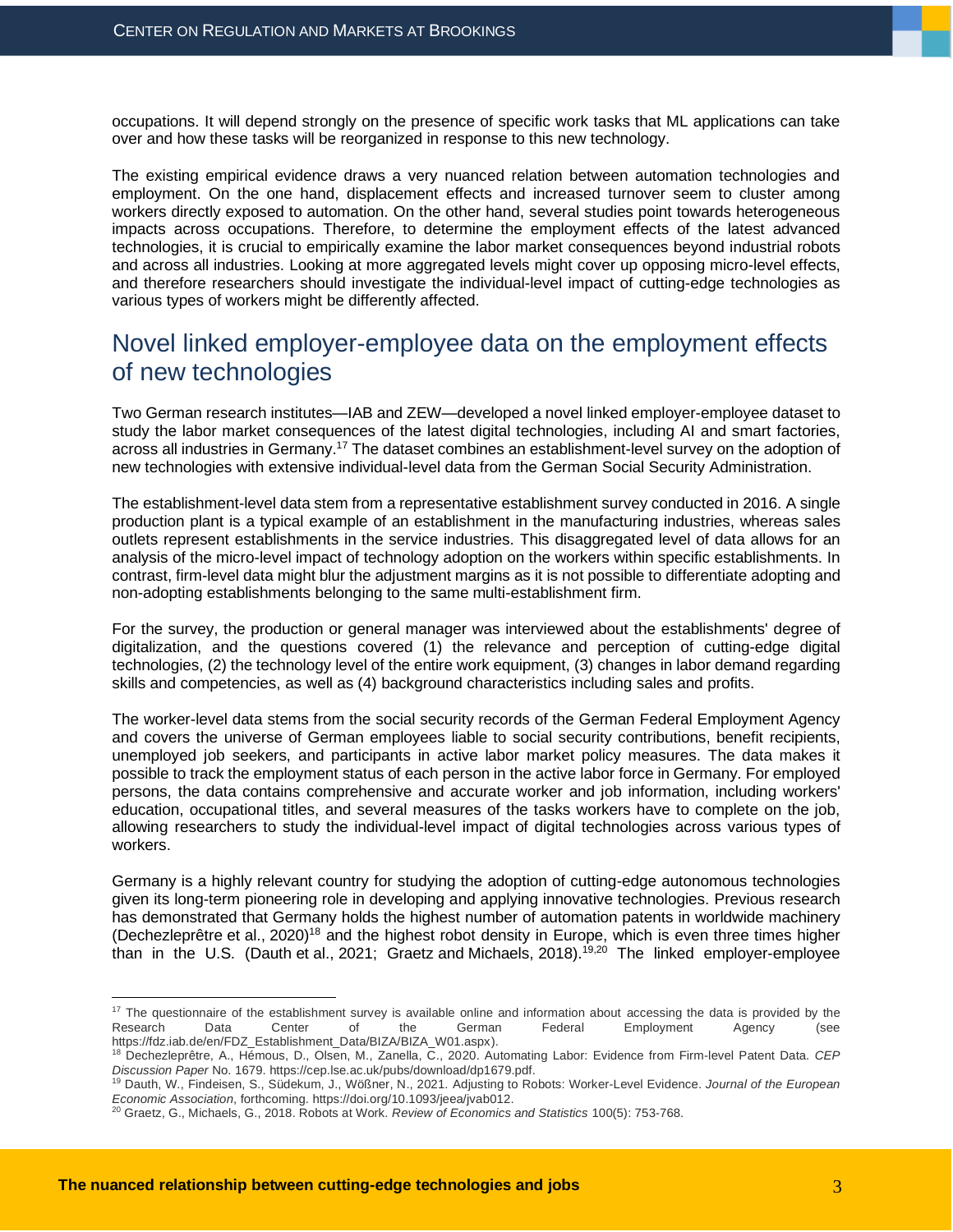occupations. It will depend strongly on the presence of specific work tasks that ML applications can take over and how these tasks will be reorganized in response to this new technology.

The existing empirical evidence draws a very nuanced relation between automation technologies and employment. On the one hand, displacement effects and increased turnover seem to cluster among workers directly exposed to automation. On the other hand, several studies point towards heterogeneous impacts across occupations. Therefore, to determine the employment effects of the latest advanced technologies, it is crucial to empirically examine the labor market consequences beyond industrial robots and across all industries. Looking at more aggregated levels might cover up opposing micro-level effects, and therefore researchers should investigate the individual-level impact of cutting-edge technologies as various types of workers might be differently affected.

## Novel linked employer-employee data on the employment effects of new technologies

Two German research institutes—IAB and ZEW—developed a novel linked employer-employee dataset to study the labor market consequences of the latest digital technologies, including AI and smart factories, across all industries in Germany.<sup>17</sup> The dataset combines an establishment-level survey on the adoption of new technologies with extensive individual-level data from the German Social Security Administration.

The establishment-level data stem from a representative establishment survey conducted in 2016. A single production plant is a typical example of an establishment in the manufacturing industries, whereas sales outlets represent establishments in the service industries. This disaggregated level of data allows for an analysis of the micro-level impact of technology adoption on the workers within specific establishments. In contrast, firm-level data might blur the adjustment margins as it is not possible to differentiate adopting and non-adopting establishments belonging to the same multi-establishment firm.

For the survey, the production or general manager was interviewed about the establishments' degree of digitalization, and the questions covered (1) the relevance and perception of cutting-edge digital technologies, (2) the technology level of the entire work equipment, (3) changes in labor demand regarding skills and competencies, as well as (4) background characteristics including sales and profits.

The worker-level data stems from the social security records of the German Federal Employment Agency and covers the universe of German employees liable to social security contributions, benefit recipients, unemployed job seekers, and participants in active labor market policy measures. The data makes it possible to track the employment status of each person in the active labor force in Germany. For employed persons, the data contains comprehensive and accurate worker and job information, including workers' education, occupational titles, and several measures of the tasks workers have to complete on the job, allowing researchers to study the individual-level impact of digital technologies across various types of workers.

Germany is a highly relevant country for studying the adoption of cutting-edge autonomous technologies given its long-term pioneering role in developing and applying innovative technologies. Previous research has demonstrated that Germany holds the highest number of automation patents in worldwide machinery [\(Dechezleprêtre](https://cep.lse.ac.uk/pubs/download/dp1679.pdf) et al., 2020)<sup>18</sup> and the highest robot density in Europe, which is even three times higher than in the U.S. [\(Dauth](https://doi.org/10.1093/jeea/jvab012) et al., 2021; Graetz and Michaels, 2018).19,20 The linked employer-employee

<sup>&</sup>lt;sup>17</sup> The questionnaire of the establishment survey is available online and information about accessing the data is provided by the Research Data Center of the German Federal Employment Agency (see https://fdz.iab.de/en/FDZ\_Establishment\_Data/BIZA/BIZA\_W01.aspx).

<sup>18</sup> Dechezleprêtre, A., Hémous, D., Olsen, M., Zanella, C., 2020. Automating Labor: Evidence from Firm-level Patent Data. *CEP Discussion Paper* No. 1679. https://cep.lse.ac.uk/pubs/download/dp1679.pdf.

<sup>19</sup> Dauth, W., Findeisen, S., Südekum, J., Wößner, N., 2021. Adjusting to Robots: Worker-Level Evidence. *Journal of the European Economic Association*, forthcoming. https://doi.org/10.1093/jeea/jvab012.

<sup>20</sup> Graetz, G., Michaels, G., 2018. Robots at Work. *Review of Economics and Statistics* 100(5): 753-768.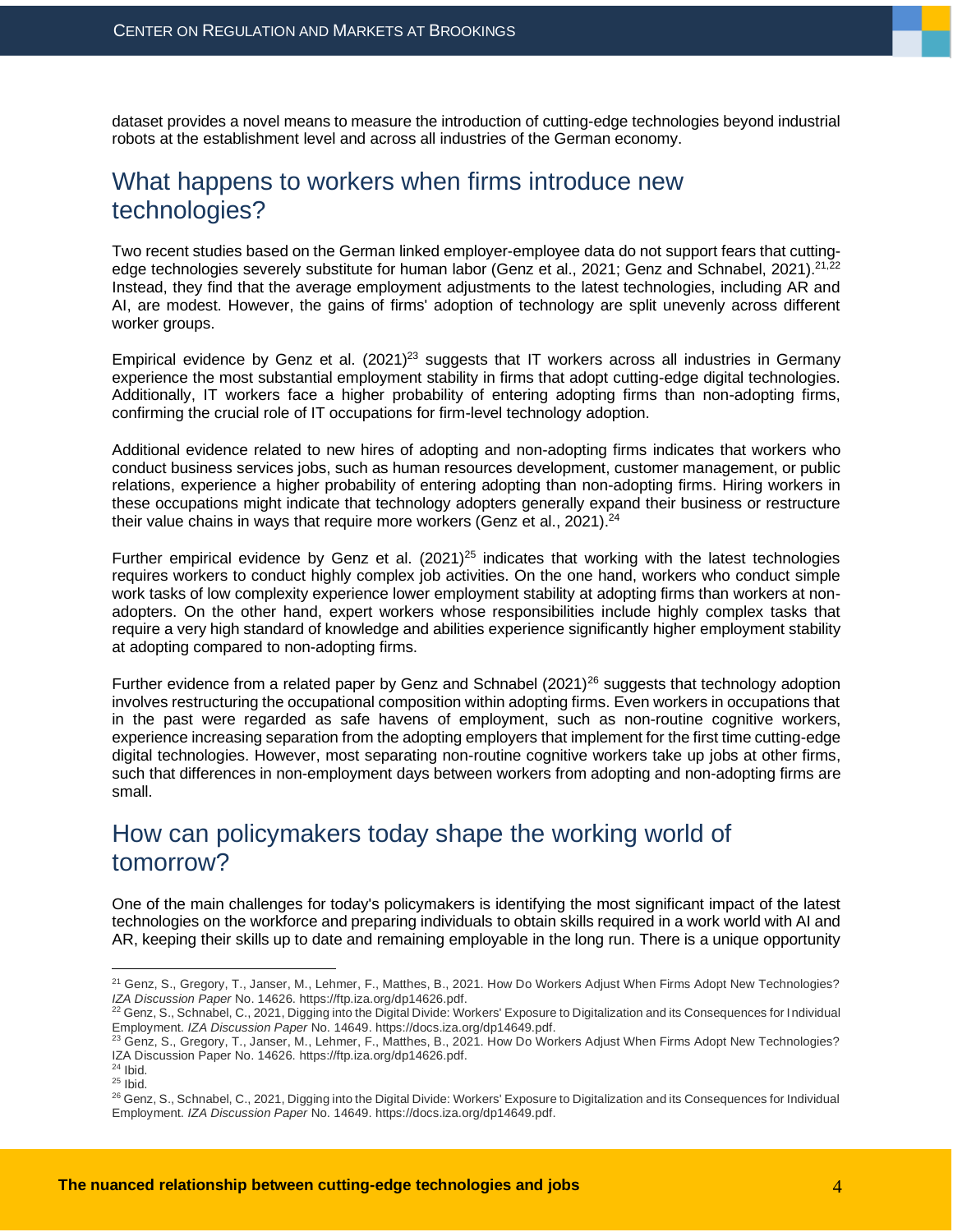dataset provides a novel means to measure the introduction of cutting-edge technologies beyond industrial robots at the establishment level and across all industries of the German economy.

## What happens to workers when firms introduce new technologies?

Two recent studies based on the German linked employer-employee data do not support fears that cutting-edge technologies severely substitute for human labor [\(Genz et al., 2021;](https://ftp.iza.org/dp14626.pdf) [Genz and Schnabel, 2021\)](https://docs.iza.org/dp14649.pdf).<sup>21,22</sup> Instead, they find that the average employment adjustments to the latest technologies, including AR and AI, are modest. However, the gains of firms' adoption of technology are split unevenly across different worker groups.

Empirical evidence by [Genz et al. \(2021\)](https://ftp.iza.org/dp14626.pdf)<sup>23</sup> suggests that IT workers across all industries in Germany experience the most substantial employment stability in firms that adopt cutting-edge digital technologies. Additionally, IT workers face a higher probability of entering adopting firms than non-adopting firms, confirming the crucial role of IT occupations for firm-level technology adoption.

Additional evidence related to new hires of adopting and non-adopting firms indicates that workers who conduct business services jobs, such as human resources development, customer management, or public relations, experience a higher probability of entering adopting than non-adopting firms. Hiring workers in these occupations might indicate that technology adopters generally expand their business or restructure their value chains in ways that require more workers [\(Genz et al., 2021\)](https://ftp.iza.org/dp14626.pdf).<sup>24</sup>

Further empirical evidence by Genz et al.  $(2021)^{25}$  indicates that working with the latest technologies requires workers to conduct highly complex job activities. On the one hand, workers who conduct simple work tasks of low complexity experience lower employment stability at adopting firms than workers at nonadopters. On the other hand, expert workers whose responsibilities include highly complex tasks that require a very high standard of knowledge and abilities experience significantly higher employment stability at adopting compared to non-adopting firms.

Further evidence from a related paper by Genz and Schnabel  $(2021)^{26}$  suggests that technology adoption involves restructuring the occupational composition within adopting firms. Even workers in occupations that in the past were regarded as safe havens of employment, such as non-routine cognitive workers, experience increasing separation from the adopting employers that implement for the first time cutting-edge digital technologies. However, most separating non-routine cognitive workers take up jobs at other firms, such that differences in non-employment days between workers from adopting and non-adopting firms are small.

## How can policymakers today shape the working world of tomorrow?

One of the main challenges for today's policymakers is identifying the most significant impact of the latest technologies on the workforce and preparing individuals to obtain skills required in a work world with AI and AR, keeping their skills up to date and remaining employable in the long run. There is a unique opportunity

<sup>&</sup>lt;sup>21</sup> Genz, S., Gregory, T., Janser, M., Lehmer, F., Matthes, B., 2021. How Do Workers Adjust When Firms Adopt New Technologies? *IZA Discussion Paper* No. 14626. https://ftp.iza.org/dp14626.pdf.

 $^{22}$  Genz, S., Schnabel, C., 2021, Digging into the Digital Divide: Workers' Exposure to Digitalization and its Consequences for Individual Employment. *IZA Discussion Paper* No. 14649. https://docs.iza.org/dp14649.pdf.

<sup>23</sup> Genz, S., Gregory, T., Janser, M., Lehmer, F., Matthes, B., 2021. How Do Workers Adjust When Firms Adopt New Technologies? IZA Discussion Paper No. 14626. https://ftp.iza.org/dp14626.pdf.

 $24$  Ibid.

 $25$  Ibid.

<sup>26</sup> Genz, S., Schnabel, C., 2021, Digging into the Digital Divide: Workers' Exposure to Digitalization and its Consequences for Individual Employment. *IZA Discussion Paper* No. 14649. https://docs.iza.org/dp14649.pdf.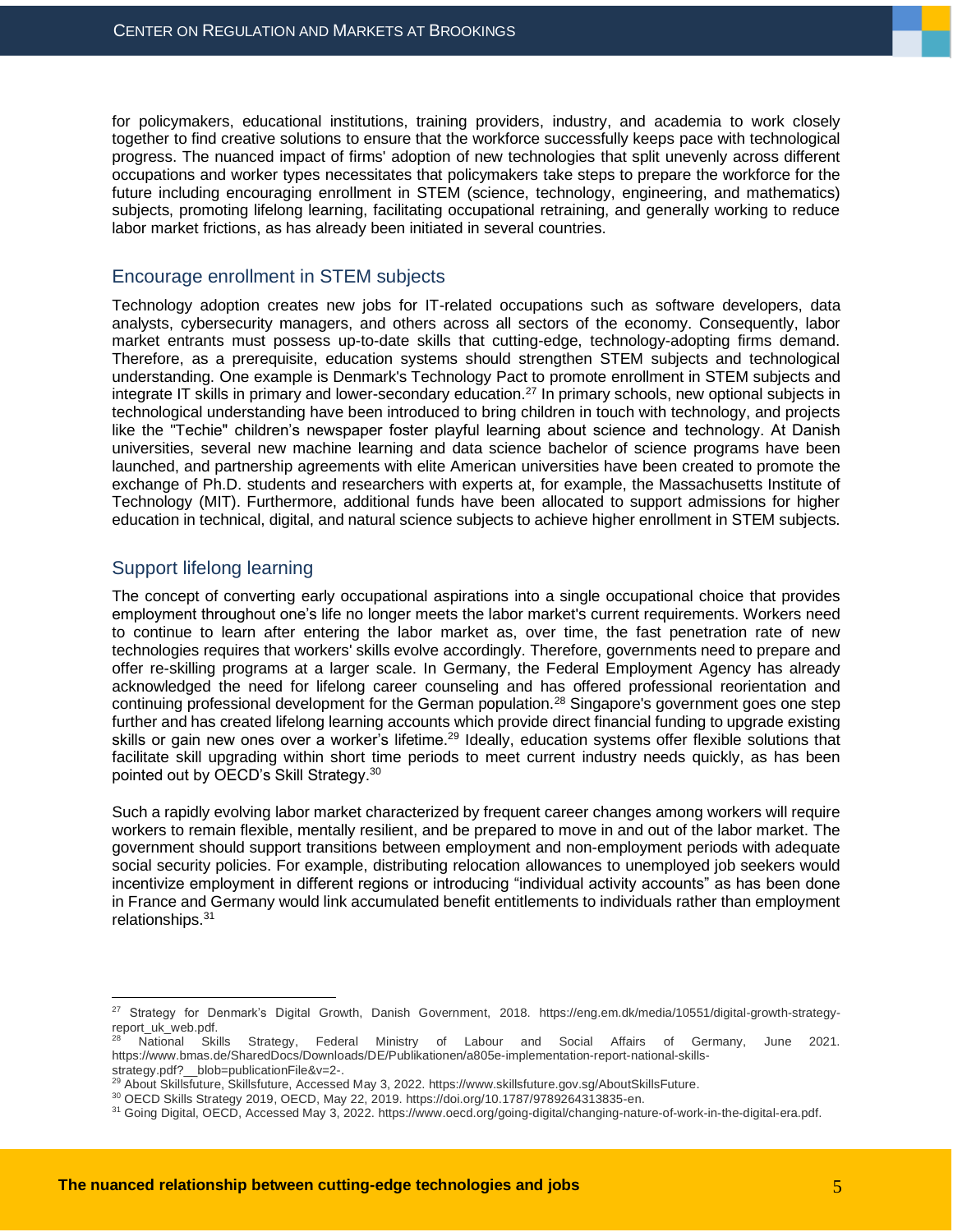for policymakers, educational institutions, training providers, industry, and academia to work closely together to find creative solutions to ensure that the workforce successfully keeps pace with technological progress. The nuanced impact of firms' adoption of new technologies that split unevenly across different occupations and worker types necessitates that policymakers take steps to prepare the workforce for the future including encouraging enrollment in STEM (science, technology, engineering, and mathematics) subjects, promoting lifelong learning, facilitating occupational retraining, and generally working to reduce labor market frictions, as has already been initiated in several countries.

#### Encourage enrollment in STEM subjects

Technology adoption creates new jobs for IT-related occupations such as software developers, data analysts, cybersecurity managers, and others across all sectors of the economy. Consequently, labor market entrants must possess up-to-date skills that cutting-edge, technology-adopting firms demand. Therefore, as a prerequisite, education systems should strengthen STEM subjects and technological understanding. One example is Denmark's Technology Pact to promote enrollment in STEM subjects and integrate IT skills in primary and lower-secondary education.<sup>27</sup> In primary schools, new optional subjects in technological understanding have been introduced to bring children in touch with technology, and projects like the "Techie" children's newspaper foster playful learning about science and technology. At Danish universities, several new machine learning and data science bachelor of science programs have been launched, and partnership agreements with elite American universities have been created to promote the exchange of Ph.D. students and researchers with experts at, for example, the Massachusetts Institute of Technology (MIT). Furthermore, additional funds have been allocated to support admissions for higher education in technical, digital, and natural science subjects to achieve higher enrollment in STEM subjects.

#### Support lifelong learning

The concept of converting early occupational aspirations into a single occupational choice that provides employment throughout one's life no longer meets the labor market's current requirements. Workers need to continue to learn after entering the labor market as, over time, the fast penetration rate of new technologies requires that workers' skills evolve accordingly. Therefore, governments need to prepare and offer re-skilling programs at a larger scale. In Germany, the Federal Employment Agency has already acknowledged the need for lifelong career counseling and has offered professional reorientation and continuing professional development for the German population.<sup>28</sup> Singapore's government goes one step further and has created lifelong learning accounts which provide direct financial funding to upgrade existing skills or gain new ones over a worker's lifetime.<sup>29</sup> Ideally, education systems offer flexible solutions that facilitate skill upgrading within short time periods to meet current industry needs quickly, as has been pointed out by OECD's Skill Strategy.<sup>30</sup>

Such a rapidly evolving labor market characterized by frequent career changes among workers will require workers to remain flexible, mentally resilient, and be prepared to move in and out of the labor market. The government should support transitions between employment and non-employment periods with adequate social security policies. For example, distributing relocation allowances to unemployed job seekers would incentivize employment in different regions or introducing "individual activity accounts" as has been done in France and Germany would link accumulated benefit entitlements to individuals rather than employment relationships.<sup>31</sup>

<sup>27</sup> Strategy for Denmark's Digital Growth, Danish Government, 2018. https://eng.em.dk/media/10551/digital-growth-strategyreport\_uk\_web.pdf.

<sup>28</sup> National Skills Strategy, Federal Ministry of Labour and Social Affairs of Germany, June 2021. https://www.bmas.de/SharedDocs/Downloads/DE/Publikationen/a805e-implementation-report-national-skillsstrategy.pdf?\_\_blob=publicationFile&v=2-.

<sup>&</sup>lt;sup>29</sup> About Skillsfuture, Skillsfuture, Accessed May 3, 2022. https://www.skillsfuture.gov.sg/AboutSkillsFuture.

<sup>30</sup> OECD Skills Strategy 2019, OECD, May 22, 2019[. https://doi.org/10.1787/9789264313835-en.](https://doi.org/10.1787/9789264313835-en)

<sup>&</sup>lt;sup>31</sup> Going Digital, OECD, Accessed May 3, 2022. https://www.oecd.org/going-digital/changing-nature-of-work-in-the-digital-era.pdf.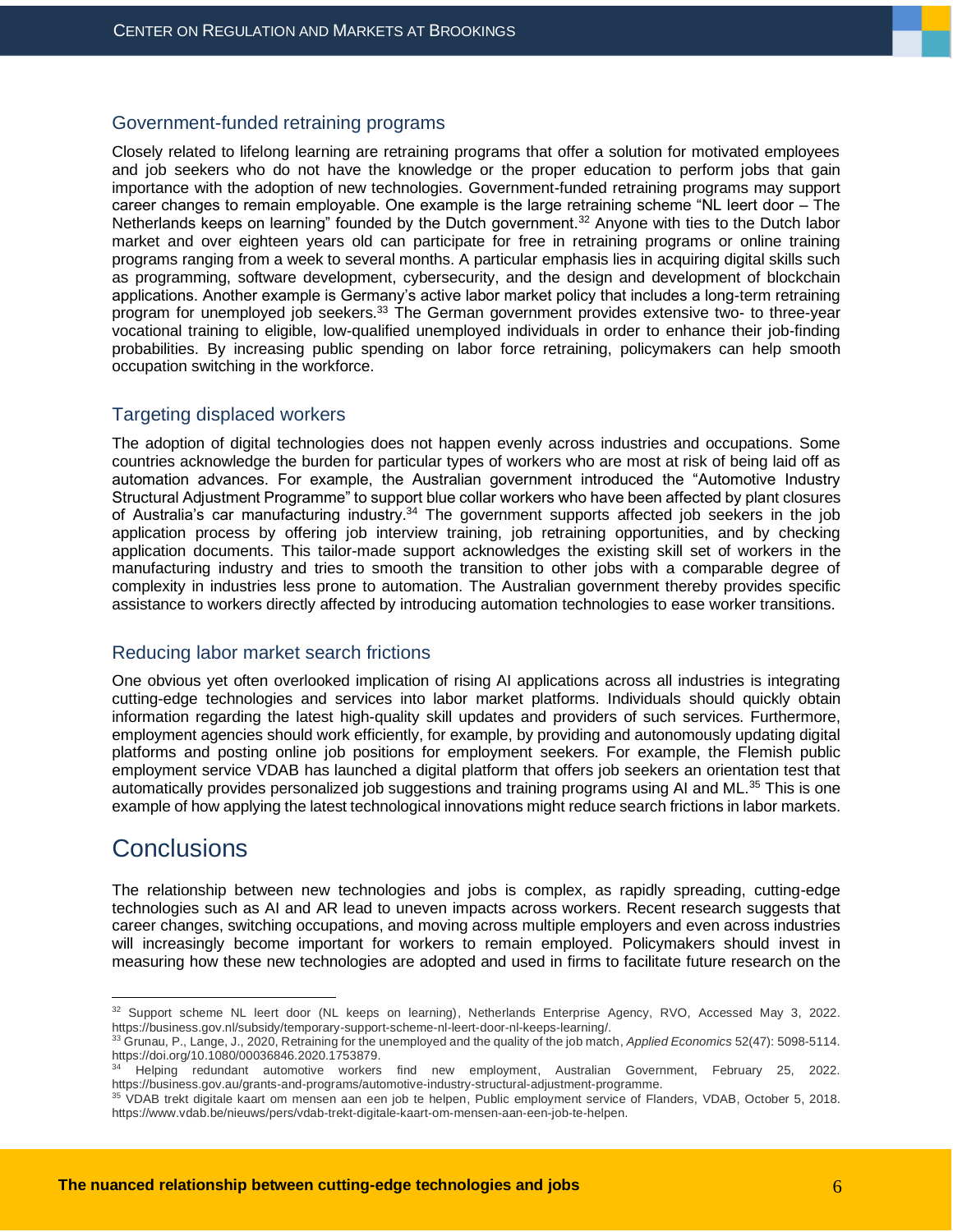#### Government-funded retraining programs

Closely related to lifelong learning are retraining programs that offer a solution for motivated employees and job seekers who do not have the knowledge or the proper education to perform jobs that gain importance with the adoption of new technologies. Government-funded retraining programs may support career changes to remain employable. One example is the large retraining scheme "NL leert door – The Netherlands keeps on learning" founded by the Dutch government.<sup>32</sup> Anyone with ties to the Dutch labor market and over eighteen years old can participate for free in retraining programs or online training programs ranging from a week to several months. A particular emphasis lies in acquiring digital skills such as programming, software development, cybersecurity, and the design and development of blockchain applications. Another example is Germany's active labor market policy that includes a long-term retraining program for unemployed job seekers.<sup>33</sup> The German government provides extensive two- to three-year vocational training to eligible, low-qualified unemployed individuals in order to enhance their job-finding probabilities. By increasing public spending on labor force retraining, policymakers can help smooth occupation switching in the workforce.

#### Targeting displaced workers

The adoption of digital technologies does not happen evenly across industries and occupations. Some countries acknowledge the burden for particular types of workers who are most at risk of being laid off as automation advances. For example, the Australian government introduced the "Automotive Industry Structural Adjustment Programme" to support blue collar workers who have been affected by plant closures of Australia's car manufacturing industry.<sup>34</sup> The government supports affected job seekers in the job application process by offering job interview training, job retraining opportunities, and by checking application documents. This tailor-made support acknowledges the existing skill set of workers in the manufacturing industry and tries to smooth the transition to other jobs with a comparable degree of complexity in industries less prone to automation. The Australian government thereby provides specific assistance to workers directly affected by introducing automation technologies to ease worker transitions.

#### Reducing labor market search frictions

One obvious yet often overlooked implication of rising AI applications across all industries is integrating cutting-edge technologies and services into labor market platforms. Individuals should quickly obtain information regarding the latest high-quality skill updates and providers of such services. Furthermore, employment agencies should work efficiently, for example, by providing and autonomously updating digital platforms and posting online job positions for employment seekers. For example, the [Flemish public](https://www.vdab.be/nieuws/pers/vdab-trekt-digitale-kaart-om-mensen-aan-een-job-te-helpen)  [employment service VDAB](https://www.vdab.be/nieuws/pers/vdab-trekt-digitale-kaart-om-mensen-aan-een-job-te-helpen) has launched a digital platform that offers job seekers an orientation test that automatically provides personalized job suggestions and training programs using AI and ML.<sup>35</sup> This is one example of how applying the latest technological innovations might reduce search frictions in labor markets.

## **Conclusions**

The relationship between new technologies and jobs is complex, as rapidly spreading, cutting-edge technologies such as AI and AR lead to uneven impacts across workers. Recent research suggests that career changes, switching occupations, and moving across multiple employers and even across industries will increasingly become important for workers to remain employed. Policymakers should invest in measuring how these new technologies are adopted and used in firms to facilitate future research on the

<sup>32</sup> Support scheme NL leert door (NL keeps on learning), Netherlands Enterprise Agency, RVO, Accessed May 3, 2022. https://business.gov.nl/subsidy/temporary-support-scheme-nl-leert-door-nl-keeps-learning/.

<sup>33</sup> Grunau, P., Lange, J., 2020, Retraining for the unemployed and the quality of the job match, *Applied Economics* 52(47): 5098-5114. https://doi.org/10.1080/00036846.2020.1753879. <sup>34</sup> Helping redundant automotive workers find new employment, Australian Government, February 25, 2022.

https://business.gov.au/grants-and-programs/automotive-industry-structural-adjustment-programme.

<sup>&</sup>lt;sup>35</sup> VDAB trekt digitale kaart om mensen aan een job te helpen, Public employment service of Flanders, VDAB, October 5, 2018. https://www.vdab.be/nieuws/pers/vdab-trekt-digitale-kaart-om-mensen-aan-een-job-te-helpen.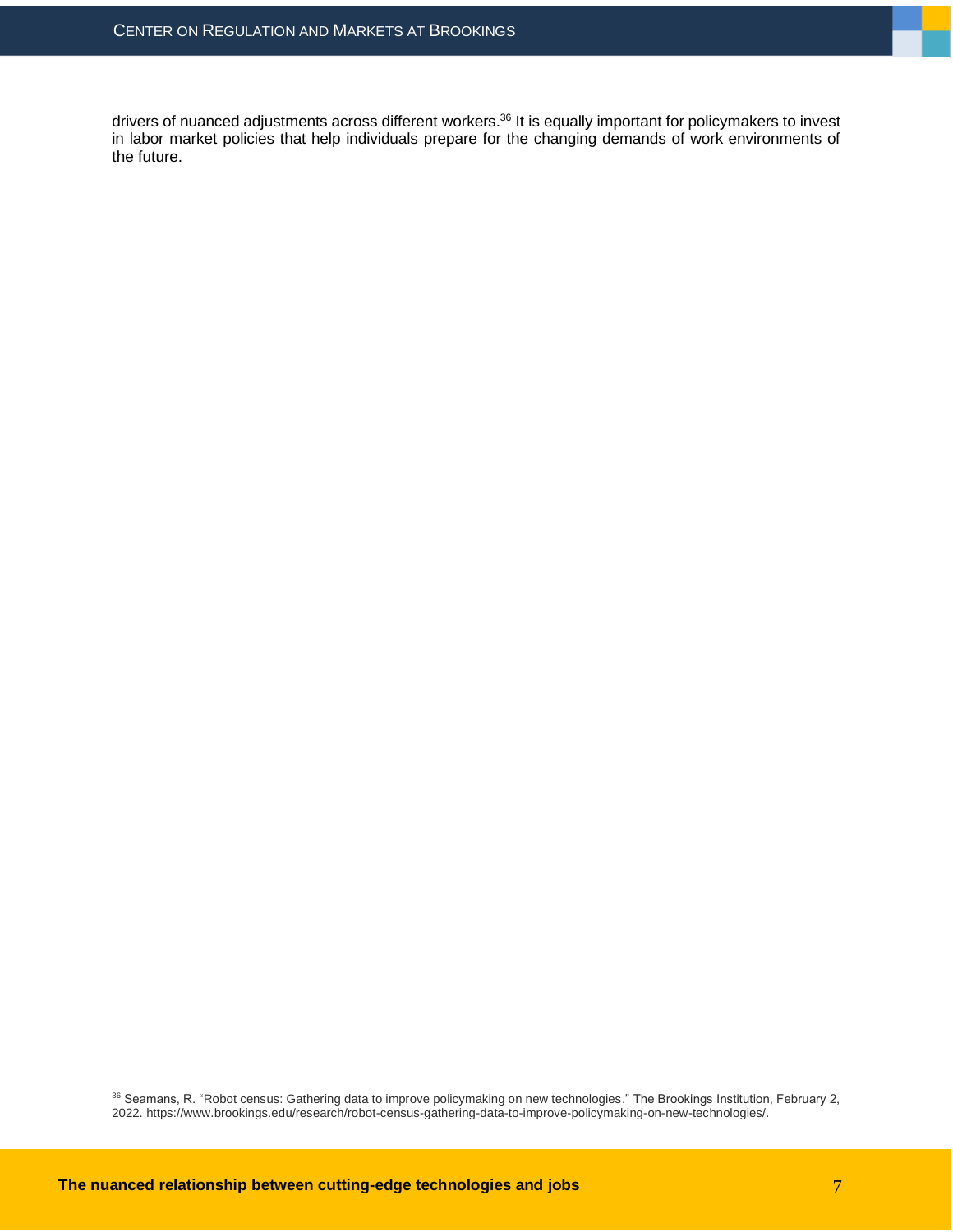drivers of nuanced adjustments across different workers.<sup>36</sup> It is equally important for policymakers to invest in labor market policies that help individuals prepare for the changing demands of work environments of the future.

<sup>36</sup> Seamans, R. "Robot census: Gathering data to improve policymaking on new technologies." The Brookings Institution, February 2, 2022. https://www.brookings.edu/research/robot-census-gathering-data-to-improve-policymaking-on-new-technologies/.